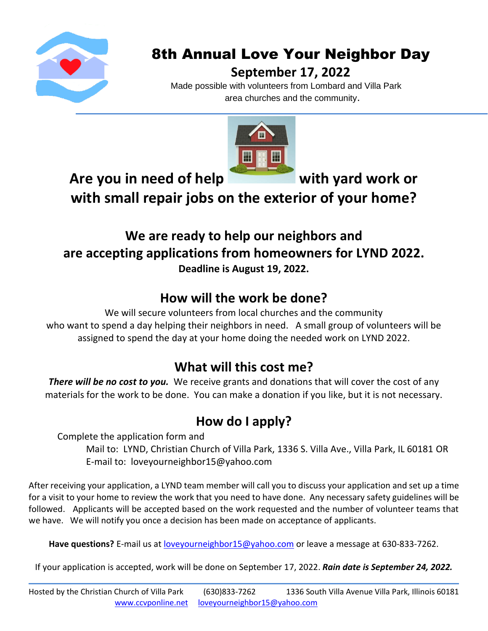

# 8th Annual Love Your Neighbor Day

#### **September 17, 2022**

Made possible with volunteers from Lombard and Villa Park area churches and the community.



Are you in need of help with yard work or

**with small repair jobs on the exterior of your home?**

### **We are ready to help our neighbors and are accepting applications from homeowners for LYND 2022. Deadline is August 19, 2022.**

## **How will the work be done?**

We will secure volunteers from local churches and the community who want to spend a day helping their neighbors in need. A small group of volunteers will be assigned to spend the day at your home doing the needed work on LYND 2022.

### **What will this cost me?**

**There will be no cost to you.** We receive grants and donations that will cover the cost of any materials for the work to be done. You can make a donation if you like, but it is not necessary.

# **How do I apply?**

Complete the application form and

Mail to: LYND, Christian Church of Villa Park, 1336 S. Villa Ave., Villa Park, IL 60181 OR E-mail to: loveyourneighbor15@yahoo.com

After receiving your application, a LYND team member will call you to discuss your application and set up a time for a visit to your home to review the work that you need to have done. Any necessary safety guidelines will be followed. Applicants will be accepted based on the work requested and the number of volunteer teams that we have. We will notify you once a decision has been made on acceptance of applicants.

**Have questions?** E-mail us at [loveyourneighbor15@yahoo.com](mailto:loveyourneighbor15@yahoo.com) or leave a message at 630-833-7262.

If your application is accepted, work will be done on September 17, 2022. *Rain date is September 24, 2022.*